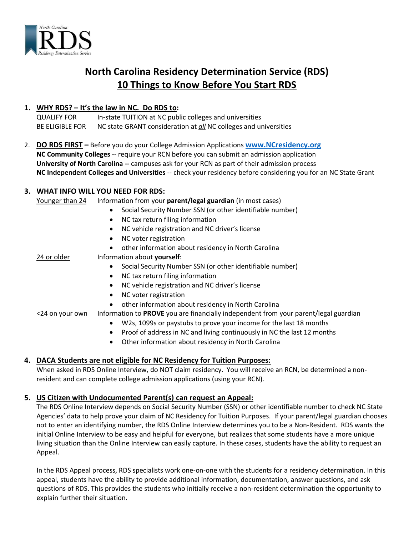

# **North Carolina Residency Determination Service (RDS) 10 Things to Know Before You Start RDS**

### **1. WHY RDS? – It's the law in NC. Do RDS to:**

QUALIFY FOR In-state TUITION at NC public colleges and universities BE ELIGIBLE FOR NC state GRANT consideration at *all* NC colleges and universities

2. **DO RDS FIRST –** Before you do your College Admission Applications **[www.NCresidency.org](http://www.ncresidency.org/) NC Community Colleges** -- require your RCN before you can submit an admission application **University of North Carolina --** campuses ask for your RCN as part of their admission process **NC Independent Colleges and Universities** -- check your residency before considering you for an NC State Grant

## **3. WHAT INFO WILL YOU NEED FOR RDS:**

Younger than 24 Information from your **parent/legal guardian** (in most cases) Social Security Number SSN (or other identifiable number) NC tax return filing information NC vehicle registration and NC driver's license • NC voter registration other information about residency in North Carolina 24 or older Information about **yourself**: Social Security Number SSN (or other identifiable number) • NC tax return filing information NC vehicle registration and NC driver's license • NC voter registration other information about residency in North Carolina <24 on your own Information to **PROVE** you are financially independent from your parent/legal guardian W2s, 1099s or paystubs to prove your income for the last 18 months • Proof of address in NC and living continuously in NC the last 12 months

Other information about residency in North Carolina

# **4. DACA Students are not eligible for NC Residency for Tuition Purposes:**

When asked in RDS Online Interview, do NOT claim residency. You will receive an RCN, be determined a nonresident and can complete college admission applications (using your RCN).

# **5. US Citizen with Undocumented Parent(s) can request an Appeal:**

The RDS Online Interview depends on Social Security Number (SSN) or other identifiable number to check NC State Agencies' data to help prove your claim of NC Residency for Tuition Purposes. If your parent/legal guardian chooses not to enter an identifying number, the RDS Online Interview determines you to be a Non-Resident. RDS wants the initial Online Interview to be easy and helpful for everyone, but realizes that some students have a more unique living situation than the Online Interview can easily capture. In these cases, students have the ability to request an Appeal.

In the RDS Appeal process, RDS specialists work one-on-one with the students for a residency determination. In this appeal, students have the ability to provide additional information, documentation, answer questions, and ask questions of RDS. This provides the students who initially receive a non-resident determination the opportunity to explain further their situation.